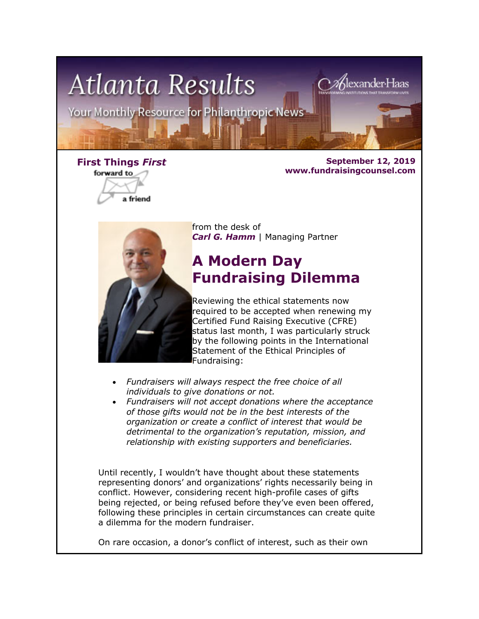

forward to a friend

**First Things** *First* **September 12, 2019 www.fundraisingcounsel.com**



from the desk of *Carl G. Hamm* | Managing Partner

# **A Modern Day Fundraising Dilemma**

Reviewing the ethical statements now required to be accepted when renewing my Certified Fund Raising Executive (CFRE) status last month, I was particularly struck by the following points in the International Statement of the Ethical Principles of Fundraising:

- *Fundraisers will always respect the free choice of all individuals to give donations or not.*
- *Fundraisers will not accept donations where the acceptance of those gifts would not be in the best interests of the organization or create a conflict of interest that would be detrimental to the organization's reputation, mission, and relationship with existing supporters and beneficiaries.*

Until recently, I wouldn't have thought about these statements representing donors' and organizations' rights necessarily being in conflict. However, considering recent high-profile cases of gifts being rejected, or being refused before they've even been offered, following these principles in certain circumstances can create quite a dilemma for the modern fundraiser.

On rare occasion, a donor's conflict of interest, such as their own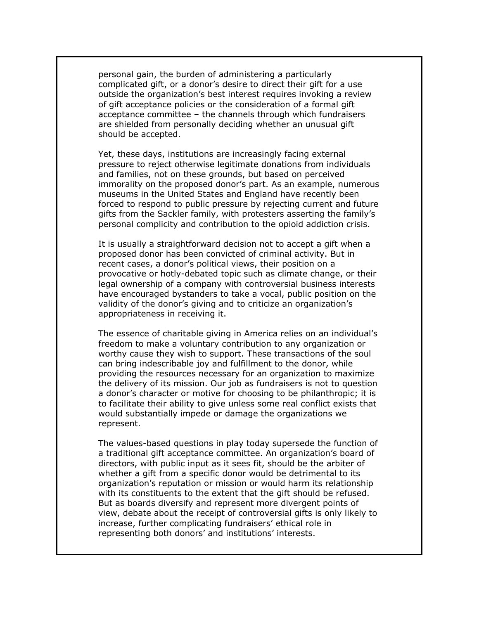personal gain, the burden of administering a particularly complicated gift, or a donor's desire to direct their gift for a use outside the organization's best interest requires invoking a review of gift acceptance policies or the consideration of a formal gift acceptance committee – the channels through which fundraisers are shielded from personally deciding whether an unusual gift should be accepted.

Yet, these days, institutions are increasingly facing external pressure to reject otherwise legitimate donations from individuals and families, not on these grounds, but based on perceived immorality on the proposed donor's part. As an example, numerous museums in the United States and England have recently been forced to respond to public pressure by rejecting current and future gifts from the Sackler family, with protesters asserting the family's personal complicity and contribution to the opioid addiction crisis.

It is usually a straightforward decision not to accept a gift when a proposed donor has been convicted of criminal activity. But in recent cases, a donor's political views, their position on a provocative or hotly-debated topic such as climate change, or their legal ownership of a company with controversial business interests have encouraged bystanders to take a vocal, public position on the validity of the donor's giving and to criticize an organization's appropriateness in receiving it.

The essence of charitable giving in America relies on an individual's freedom to make a voluntary contribution to any organization or worthy cause they wish to support. These transactions of the soul can bring indescribable joy and fulfillment to the donor, while providing the resources necessary for an organization to maximize the delivery of its mission. Our job as fundraisers is not to question a donor's character or motive for choosing to be philanthropic; it is to facilitate their ability to give unless some real conflict exists that would substantially impede or damage the organizations we represent.

The values-based questions in play today supersede the function of a traditional gift acceptance committee. An organization's board of directors, with public input as it sees fit, should be the arbiter of whether a gift from a specific donor would be detrimental to its organization's reputation or mission or would harm its relationship with its constituents to the extent that the gift should be refused. But as boards diversify and represent more divergent points of view, debate about the receipt of controversial gifts is only likely to increase, further complicating fundraisers' ethical role in representing both donors' and institutions' interests.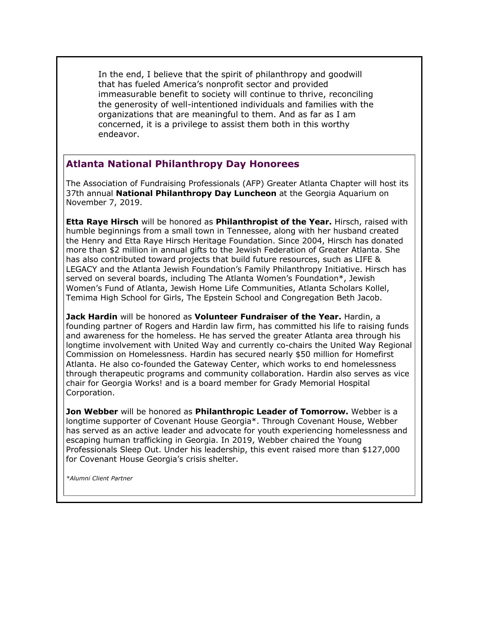In the end, I believe that the spirit of philanthropy and goodwill that has fueled America's nonprofit sector and provided immeasurable benefit to society will continue to thrive, reconciling the generosity of well-intentioned individuals and families with the organizations that are meaningful to them. And as far as I am concerned, it is a privilege to assist them both in this worthy endeavor.

### **Atlanta National Philanthropy Day Honorees**

The Association of Fundraising Professionals (AFP) Greater Atlanta Chapter will host its 37th annual **National Philanthropy Day Luncheon** at the Georgia Aquarium on November 7, 2019.

**Etta Raye Hirsch** will be honored as **Philanthropist of the Year.** Hirsch, raised with humble beginnings from a small town in Tennessee, along with her husband created the Henry and Etta Raye Hirsch Heritage Foundation. Since 2004, Hirsch has donated more than \$2 million in annual gifts to the Jewish Federation of Greater Atlanta. She has also contributed toward projects that build future resources, such as LIFE & LEGACY and the Atlanta Jewish Foundation's Family Philanthropy Initiative. Hirsch has served on several boards, including The Atlanta Women's Foundation\*, Jewish Women's Fund of Atlanta, Jewish Home Life Communities, Atlanta Scholars Kollel, Temima High School for Girls, The Epstein School and Congregation Beth Jacob.

**Jack Hardin** will be honored as **Volunteer Fundraiser of the Year.** Hardin, a founding partner of Rogers and Hardin law firm, has committed his life to raising funds and awareness for the homeless. He has served the greater Atlanta area through his longtime involvement with United Way and currently co-chairs the United Way Regional Commission on Homelessness. Hardin has secured nearly \$50 million for Homefirst Atlanta. He also co-founded the Gateway Center, which works to end homelessness through therapeutic programs and community collaboration. Hardin also serves as vice chair for Georgia Works! and is a board member for Grady Memorial Hospital Corporation.

**Jon Webber** will be honored as **Philanthropic Leader of Tomorrow.** Webber is a longtime supporter of Covenant House Georgia\*. Through Covenant House, Webber has served as an active leader and advocate for youth experiencing homelessness and escaping human trafficking in Georgia. In 2019, Webber chaired the Young Professionals Sleep Out. Under his leadership, this event raised more than \$127,000 for Covenant House Georgia's crisis shelter.

*\*Alumni Client Partner*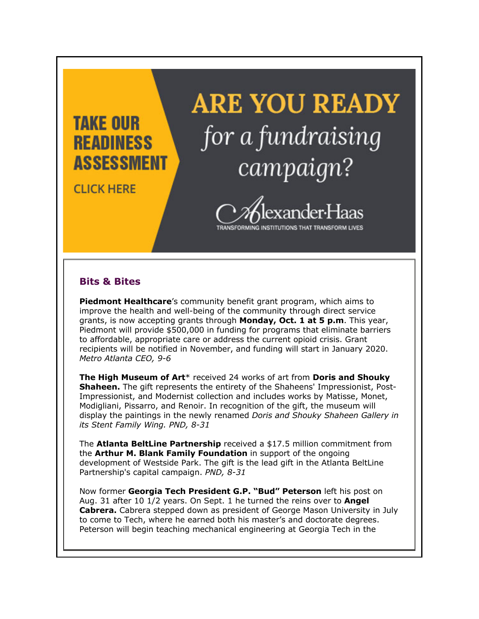

### **Bits & Bites**

**Piedmont Healthcare**'s community benefit grant program, which aims to improve the health and well-being of the community through direct service grants, is now accepting grants through **Monday, Oct. 1 at 5 p.m**. This year, Piedmont will provide \$500,000 in funding for programs that eliminate barriers to affordable, appropriate care or address the current opioid crisis. Grant recipients will be notified in November, and funding will start in January 2020. *Metro Atlanta CEO, 9-6*

**The High Museum of Art**\* received 24 works of art from **Doris and Shouky Shaheen.** The gift represents the entirety of the Shaheens' Impressionist, Post-Impressionist, and Modernist collection and includes works by Matisse, Monet, Modigliani, Pissarro, and Renoir. In recognition of the gift, the museum will display the paintings in the newly renamed *Doris and Shouky Shaheen Gallery in its Stent Family Wing. PND, 8-31*

The **Atlanta BeltLine Partnership** received a \$17.5 million commitment from the **Arthur M. Blank Family Foundation** in support of the ongoing development of Westside Park. The gift is the lead gift in the Atlanta BeltLine Partnership's capital campaign. *PND, 8-31*

Now former **Georgia Tech President G.P. "Bud" Peterson** left his post on Aug. 31 after 10 1/2 years. On Sept. 1 he turned the reins over to **Angel Cabrera.** Cabrera stepped down as president of George Mason University in July to come to Tech, where he earned both his master's and doctorate degrees. Peterson will begin teaching mechanical engineering at Georgia Tech in the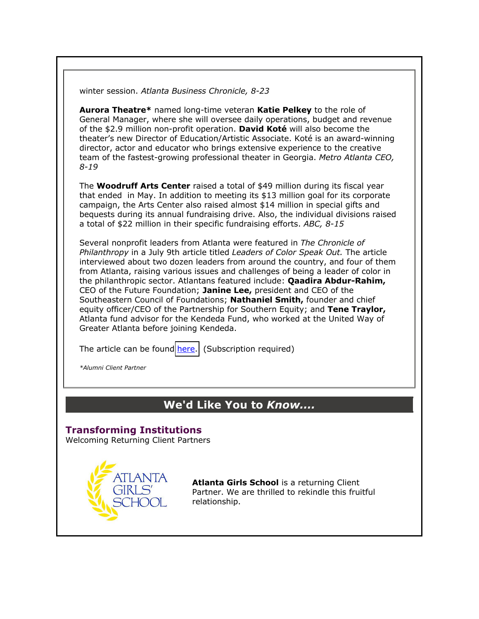winter session. *Atlanta Business Chronicle, 8-23*

**Aurora Theatre\*** named long-time veteran **Katie Pelkey** to the role of General Manager, where she will oversee daily operations, budget and revenue of the \$2.9 million non-profit operation. **David Koté** will also become the theater's new Director of Education/Artistic Associate. Koté is an award-winning director, actor and educator who brings extensive experience to the creative team of the fastest-growing professional theater in Georgia. *Metro Atlanta CEO, 8-19*

The **Woodruff Arts Center** raised a total of \$49 million during its fiscal year that ended in May. In addition to meeting its \$13 million goal for its corporate campaign, the Arts Center also raised almost \$14 million in special gifts and bequests during its annual fundraising drive. Also, the individual divisions raised a total of \$22 million in their specific fundraising efforts. *ABC, 8-15*

Several nonprofit leaders from Atlanta were featured in *The Chronicle of Philanthropy* in a July 9th article titled *Leaders of Color Speak Out.* The article interviewed about two dozen leaders from around the country, and four of them from Atlanta, raising various issues and challenges of being a leader of color in the philanthropic sector. Atlantans featured include: **Qaadira Abdur-Rahim,** CEO of the Future Foundation; **Janine Lee,** president and CEO of the Southeastern Council of Foundations; **Nathaniel Smith,** founder and chief equity officer/CEO of the Partnership for Southern Equity; and **Tene Traylor,** Atlanta fund advisor for the Kendeda Fund, who worked at the United Way of Greater Atlanta before joining Kendeda.

The article can be found [here.](http://www.philanthropy.com/interactives/20190709_LeadersOfColor) (Subscription required)

*\*Alumni Client Partner*

## **We'd Like You to** *Know....*

#### **Transforming Institutions** Welcoming Returning Client Partners



**Atlanta Girls School** is a returning Client Partner. We are thrilled to rekindle this fruitful relationship.